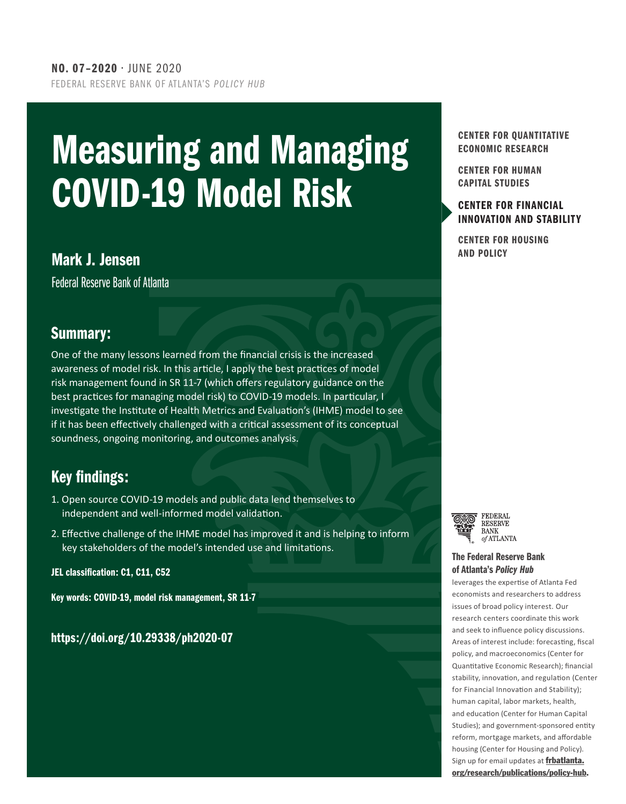# Measuring and Managing COVID-19 Model Risk

## **Mark J. Jensen** Mark J. Jensen Mark J. Jensen Mark J. Jensen Mark J. Jensen Mark J. Jensen Mark J. Jensen Mark J

Federal Reserve Bank of Atlanta

### Summary:

One of the many lessons learned from the financial crisis is the increased awareness of model risk. In this article, I apply the best practices of model risk management found in SR 11-7 (which offers regulatory guidance on the best practices for managing model risk) to COVID-19 models. In particular, I investigate the Institute of Health Metrics and Evaluation's (IHME) model to see if it has been effectively challenged with a critical assessment of its conceptual soundness, ongoing monitoring, and outcomes analysis.

## Key findings:

- 1. Open source COVID-19 models and public data lend themselves to independent and well-informed model validation.
- 2. Effective challenge of the IHME model has improved it and is helping to inform key stakeholders of the model's intended use and limitations.

#### JEL classification: C1, C11, C52

Key words: COVID-19, model risk management, SR 11-7

https://doi.org/10.29338/ph2020-07

#### CENTER FOR QUANTITATIVE ECONOMIC RESEARCH

CENTER FOR HUMAN CAPITAL STUDIES

#### CENTER FOR FINANCIAL [INNOVATION AND STABILITY](https://www.frbatlanta.org/cenfis.aspx)

CENTER FOR HOUSING



#### [The Federal Reserve Bank](http://frbatlanta.org/research/publications/policy-hub.aspx) of Atlanta's *Policy Hub*

leverages the expertise of Atlanta Fed economists and researchers to address issues of broad policy interest. Our research centers coordinate this work and seek to influence policy discussions. Areas of interest include: forecasting, fiscal policy, and macroeconomics (Center for Quantitative Economic Research); financial stability, innovation, and regulation (Center for Financial Innovation and Stability); human capital, labor markets, health, and education (Center for Human Capital Studies); and government-sponsored entity reform, mortgage markets, and affordable housing (Center for Housing and Policy). Sign up for email updates at **[frbatlanta.](https://frbatlanta.org/research/publications/policy-hub.aspx)** [org/research/publications/policy-hub](https://frbatlanta.org/research/publications/policy-hub.aspx).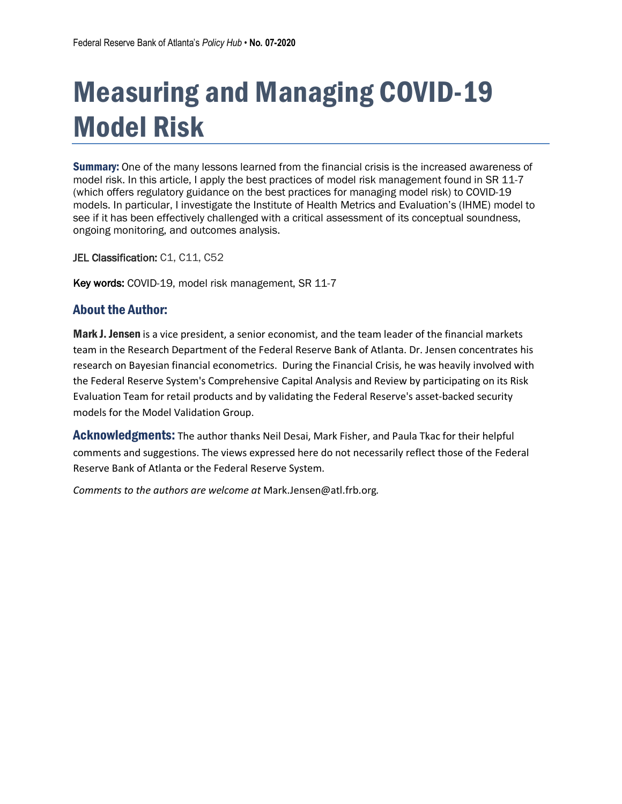## Measuring and Managing COVID-19 Model Risk

**Summary:** One of the many lessons learned from the financial crisis is the increased awareness of model risk. In this article, I apply the best practices of model risk management found in SR 11-7 (which offers regulatory guidance on the best practices for managing model risk) to COVID-19 models. In particular, I investigate the Institute of Health Metrics and Evaluation's (IHME) model to see if it has been effectively challenged with a critical assessment of its conceptual soundness, ongoing monitoring, and outcomes analysis.

JEL Classification: C1, C11, C52

Key words: COVID-19, model risk management, SR 11-7

#### About the Author:

**Mark J. Jensen** is a vice president, a senior economist, and the team leader of the financial markets team in the Research Department of the Federal Reserve Bank of Atlanta. Dr. Jensen concentrates his research on Bayesian financial econometrics. During the Financial Crisis, he was heavily involved with the Federal Reserve System's Comprehensive Capital Analysis and Review by participating on its Risk Evaluation Team for retail products and by validating the Federal Reserve's asset-backed security models for the Model Validation Group.

**Acknowledgments:** The author thanks Neil Desai, Mark Fisher, and Paula Tkac for their helpful comments and suggestions. The views expressed here do not necessarily reflect those of the Federal Reserve Bank of Atlanta or the Federal Reserve System.

*Comments to the authors are welcome at* Mark.Jensen@atl.frb.org*.*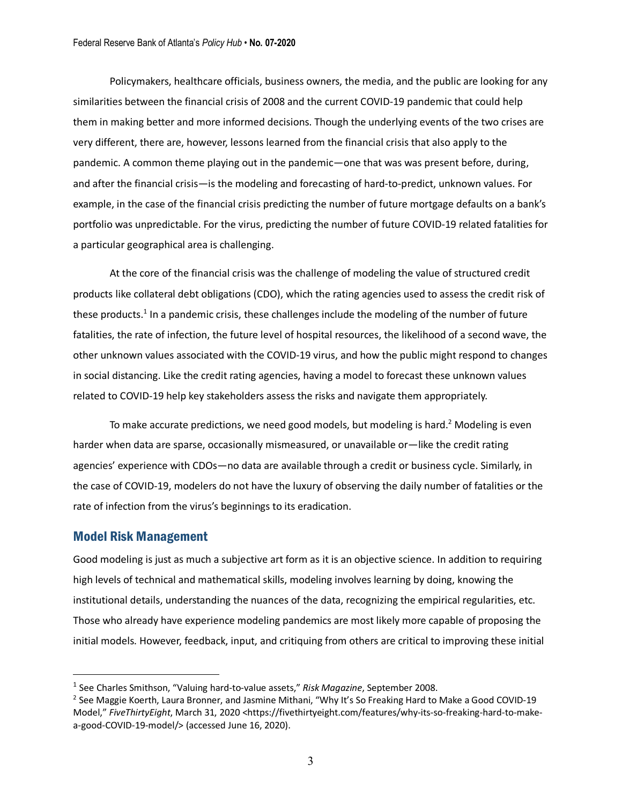Policymakers, healthcare officials, business owners, the media, and the public are looking for any similarities between the financial crisis of 2008 and the current COVID-19 pandemic that could help them in making better and more informed decisions. Though the underlying events of the two crises are very different, there are, however, lessons learned from the financial crisis that also apply to the pandemic. A common theme playing out in the pandemic—one that was was present before, during, and after the financial crisis—is the modeling and forecasting of hard-to-predict, unknown values. For example, in the case of the financial crisis predicting the number of future mortgage defaults on a bank's portfolio was unpredictable. For the virus, predicting the number of future COVID-19 related fatalities for a particular geographical area is challenging.

At the core of the financial crisis was the challenge of modeling the value of structured credit products like collateral debt obligations (CDO), which the rating agencies used to assess the credit risk of these products.<sup>1</sup> In a pandemic crisis, these challenges include the modeling of the number of future fatalities, the rate of infection, the future level of hospital resources, the likelihood of a second wave, the other unknown values associated with the COVID-19 virus, and how the public might respond to changes in social distancing. Like the credit rating agencies, having a model to forecast these unknown values related to COVID-19 help key stakeholders assess the risks and navigate them appropriately.

To make accurate predictions, we need good models, but modeling is hard.<sup>2</sup> Modeling is even harder when data are sparse, occasionally mismeasured, or unavailable or—like the credit rating agencies' experience with CDOs—no data are available through a credit or business cycle. Similarly, in the case of COVID-19, modelers do not have the luxury of observing the daily number of fatalities or the rate of infection from the virus's beginnings to its eradication.

#### Model Risk Management

 $\overline{a}$ 

Good modeling is just as much a subjective art form as it is an objective science. In addition to requiring high levels of technical and mathematical skills, modeling involves learning by doing, knowing the institutional details, understanding the nuances of the data, recognizing the empirical regularities, etc. Those who already have experience modeling pandemics are most likely more capable of proposing the initial models. However, feedback, input, and critiquing from others are critical to improving these initial

<sup>1</sup> See Charles Smithson, "Valuing hard-to-value assets," *Risk Magazine*, September 2008.

<sup>&</sup>lt;sup>2</sup> See Maggie Koerth, Laura Bronner, and Jasmine Mithani, "Why It's So Freaking Hard to Make a Good COVID-19 Model," *FiveThirtyEight*, March 31, 2020 <https://fivethirtyeight.com/features/why-its-so-freaking-hard-to-makea-good-COVID-19-model/> (accessed June 16, 2020).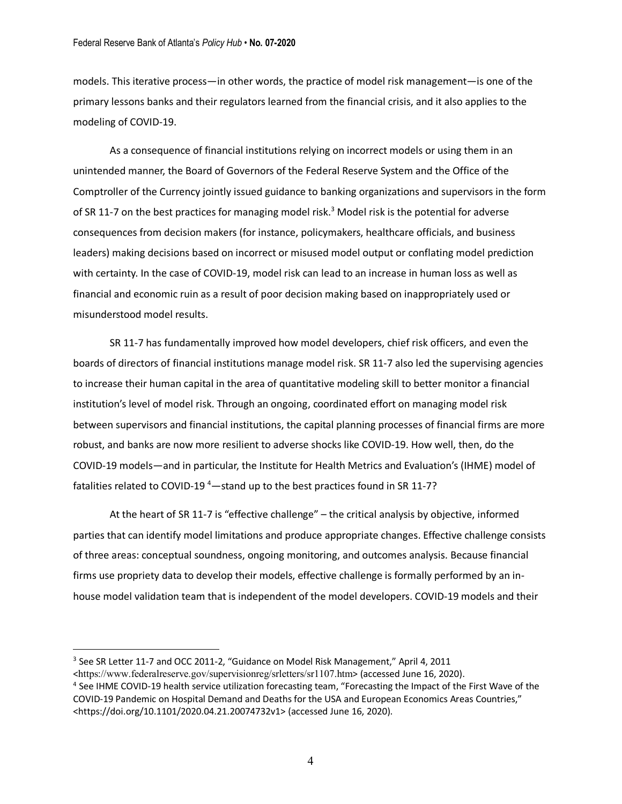models. This iterative process—in other words, the practice of model risk management—is one of the primary lessons banks and their regulators learned from the financial crisis, and it also applies to the modeling of COVID-19.

As a consequence of financial institutions relying on incorrect models or using them in an unintended manner, the Board of Governors of the Federal Reserve System and the Office of the Comptroller of the Currency jointly issued guidance to banking organizations and supervisors in the form of SR 11-7 on the best practices for managing model risk.<sup>3</sup> Model risk is the potential for adverse consequences from decision makers (for instance, policymakers, healthcare officials, and business leaders) making decisions based on incorrect or misused model output or conflating model prediction with certainty. In the case of COVID-19, model risk can lead to an increase in human loss as well as financial and economic ruin as a result of poor decision making based on inappropriately used or misunderstood model results.

SR 11-7 has fundamentally improved how model developers, chief risk officers, and even the boards of directors of financial institutions manage model risk. SR 11-7 also led the supervising agencies to increase their human capital in the area of quantitative modeling skill to better monitor a financial institution's level of model risk. Through an ongoing, coordinated effort on managing model risk between supervisors and financial institutions, the capital planning processes of financial firms are more robust, and banks are now more resilient to adverse shocks like COVID-19. How well, then, do the COVID-19 models—and in particular, the Institute for Health Metrics and Evaluation's (IHME) model of fatalities related to COVID-19<sup>4</sup>—stand up to the best practices found in SR 11-7?

At the heart of SR 11-7 is "effective challenge" – the critical analysis by objective, informed parties that can identify model limitations and produce appropriate changes. Effective challenge consists of three areas: conceptual soundness, ongoing monitoring, and outcomes analysis. Because financial firms use propriety data to develop their models, effective challenge is formally performed by an inhouse model validation team that is independent of the model developers. COVID-19 models and their

 $\overline{a}$ 

<sup>&</sup>lt;sup>3</sup> See SR Letter 11-7 and OCC 2011-2, "Guidance on Model Risk Management," April 4, 2011

<sup>&</sup>lt;https://www.federalreserve.gov/supervisionreg/srletters/sr1107.htm<sup>&</sup>gt; (accessed June 16, 2020). 4 See IHME COVID-19 health service utilization forecasting team, "Forecasting the Impact of the First Wave of the

COVID-19 Pandemic on Hospital Demand and Deaths for the USA and European Economics Areas Countries," <https://doi.org/10.1101/2020.04.21.20074732v1> (accessed June 16, 2020).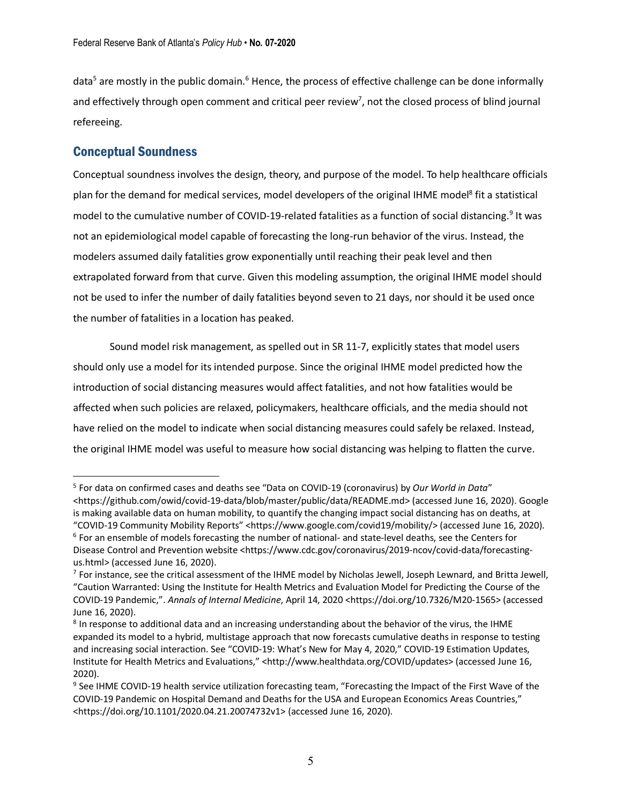data<sup>5</sup> are mostly in the public domain.<sup>6</sup> Hence, the process of effective challenge can be done informally and effectively through open comment and critical peer review<sup>7</sup>, not the closed process of blind journal refereeing.

#### Conceptual Soundness

 $\overline{a}$ 

Conceptual soundness involves the design, theory, and purpose of the model. To help healthcare officials plan for the demand for medical services, model developers of the original IHME model<sup>8</sup> fit a statistical model to the cumulative number of COVID-19-related fatalities as a function of social distancing.<sup>9</sup> It was not an epidemiological model capable of forecasting the long-run behavior of the virus. Instead, the modelers assumed daily fatalities grow exponentially until reaching their peak level and then extrapolated forward from that curve. Given this modeling assumption, the original IHME model should not be used to infer the number of daily fatalities beyond seven to 21 days, nor should it be used once the number of fatalities in a location has peaked.

Sound model risk management, as spelled out in SR 11-7, explicitly states that model users should only use a model for its intended purpose. Since the original IHME model predicted how the introduction of social distancing measures would affect fatalities, and not how fatalities would be affected when such policies are relaxed, policymakers, healthcare officials, and the media should not have relied on the model to indicate when social distancing measures could safely be relaxed. Instead, the original IHME model was useful to measure how social distancing was helping to flatten the curve.

<sup>5</sup> For data on confirmed cases and deaths see "Data on COVID-19 (coronavirus) by *Our World in Data*" <https://github.com/owid/covid-19-data/blob/master/public/data/README.md> (accessed June 16, 2020). Google is making available data on human mobility, to quantify the changing impact social distancing has on deaths, at "COVID-19 Community Mobility Reports" <https://www.google.com/covid19/mobility/> (accessed June 16, 2020).  $6$  For an ensemble of models forecasting the number of national- and state-level deaths, see the Centers for Disease Control and Prevention website <https://www.cdc.gov/coronavirus/2019-ncov/covid-data/forecastingus.html> (accessed June 16, 2020).

 $7$  For instance, see the critical assessment of the IHME model by Nicholas Jewell, Joseph Lewnard, and Britta Jewell, "Caution Warranted: Using the Institute for Health Metrics and Evaluation Model for Predicting the Course of the COVID-19 Pandemic,". *Annals of Internal Medicine*, April 14, 2020 <https://doi.org/10.7326/M20-1565> (accessed June 16, 2020).

<sup>&</sup>lt;sup>8</sup> In response to additional data and an increasing understanding about the behavior of the virus, the IHME expanded its model to a hybrid, multistage approach that now forecasts cumulative deaths in response to testing and increasing social interaction. See "COVID-19: What's New for May 4, 2020," COVID-19 Estimation Updates, Institute for Health Metrics and Evaluations," <http://www.healthdata.org/COVID/updates> (accessed June 16, 2020).

<sup>&</sup>lt;sup>9</sup> See IHME COVID-19 health service utilization forecasting team, "Forecasting the Impact of the First Wave of the COVID-19 Pandemic on Hospital Demand and Deaths for the USA and European Economics Areas Countries," <https://doi.org/10.1101/2020.04.21.20074732v1> (accessed June 16, 2020).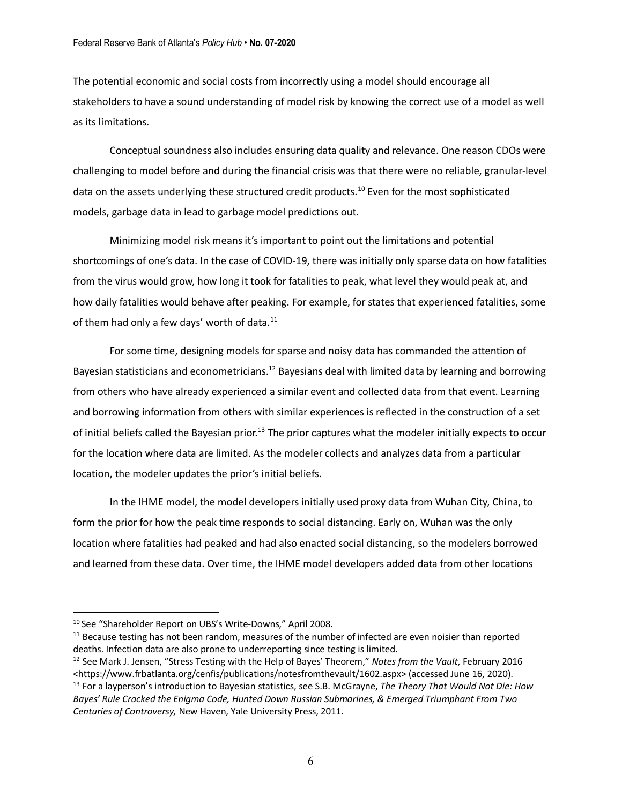#### Federal Reserve Bank of Atlanta's *Policy Hub* • **No. 07-2020**

The potential economic and social costs from incorrectly using a model should encourage all stakeholders to have a sound understanding of model risk by knowing the correct use of a model as well as its limitations.

Conceptual soundness also includes ensuring data quality and relevance. One reason CDOs were challenging to model before and during the financial crisis was that there were no reliable, granular-level data on the assets underlying these structured credit products.<sup>10</sup> Even for the most sophisticated models, garbage data in lead to garbage model predictions out.

Minimizing model risk means it's important to point out the limitations and potential shortcomings of one's data. In the case of COVID-19, there was initially only sparse data on how fatalities from the virus would grow, how long it took for fatalities to peak, what level they would peak at, and how daily fatalities would behave after peaking. For example, for states that experienced fatalities, some of them had only a few days' worth of data. $^{11}$ 

For some time, designing models for sparse and noisy data has commanded the attention of Bayesian statisticians and econometricians.<sup>12</sup> Bayesians deal with limited data by learning and borrowing from others who have already experienced a similar event and collected data from that event. Learning and borrowing information from others with similar experiences is reflected in the construction of a set of initial beliefs called the Bayesian prior.<sup>13</sup> The prior captures what the modeler initially expects to occur for the location where data are limited. As the modeler collects and analyzes data from a particular location, the modeler updates the prior's initial beliefs.

In the IHME model, the model developers initially used proxy data from Wuhan City, China, to form the prior for how the peak time responds to social distancing. Early on, Wuhan was the only location where fatalities had peaked and had also enacted social distancing, so the modelers borrowed and learned from these data. Over time, the IHME model developers added data from other locations

 $\overline{a}$ 

<sup>&</sup>lt;sup>10</sup> See "Shareholder Report on UBS's Write-Downs," April 2008.<br><sup>11</sup> Because testing has not been random, measures of the number of infected are even noisier than reported deaths. Infection data are also prone to underreporting since testing is limited.<br><sup>12</sup> See Mark J. Jensen, "Stress Testing with the Help of Bayes' Theorem," *Notes from the Vault*, February 2016

<sup>&</sup>lt;https://www.frbatlanta.org/cenfis/publications/notesfromthevault/1602.aspx> (accessed June 16, 2020). 13 For a layperson's introduction to Bayesian statistics, see S.B. McGrayne, *The Theory That Would Not Die: How Bayes' Rule Cracked the Enigma Code, Hunted Down Russian Submarines, & Emerged Triumphant From Two Centuries of Controversy,* New Haven, Yale University Press, 2011.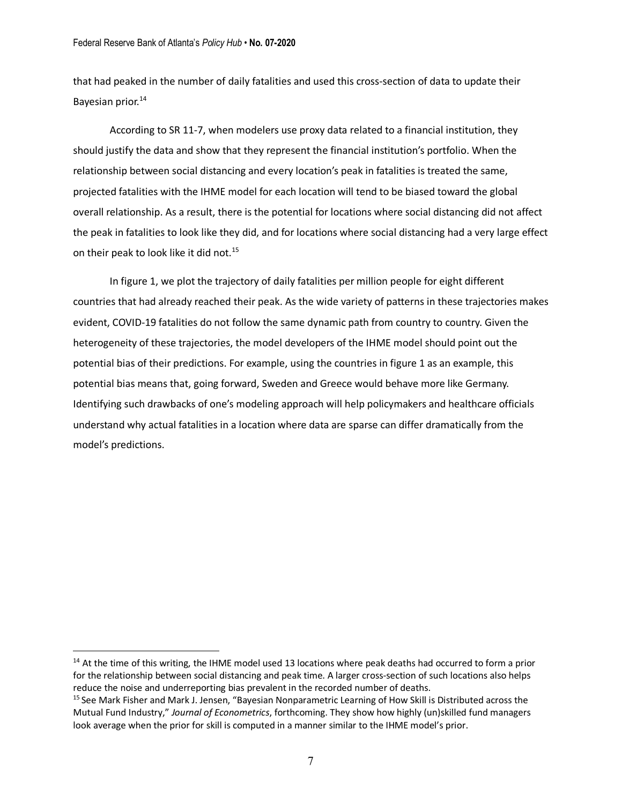that had peaked in the number of daily fatalities and used this cross-section of data to update their Bayesian prior.<sup>14</sup>

According to SR 11-7, when modelers use proxy data related to a financial institution, they should justify the data and show that they represent the financial institution's portfolio. When the relationship between social distancing and every location's peak in fatalities is treated the same, projected fatalities with the IHME model for each location will tend to be biased toward the global overall relationship. As a result, there is the potential for locations where social distancing did not affect the peak in fatalities to look like they did, and for locations where social distancing had a very large effect on their peak to look like it did not.<sup>15</sup>

In figure 1, we plot the trajectory of daily fatalities per million people for eight different countries that had already reached their peak. As the wide variety of patterns in these trajectories makes evident, COVID-19 fatalities do not follow the same dynamic path from country to country. Given the heterogeneity of these trajectories, the model developers of the IHME model should point out the potential bias of their predictions. For example, using the countries in figure 1 as an example, this potential bias means that, going forward, Sweden and Greece would behave more like Germany. Identifying such drawbacks of one's modeling approach will help policymakers and healthcare officials understand why actual fatalities in a location where data are sparse can differ dramatically from the model's predictions.

<sup>&</sup>lt;sup>14</sup> At the time of this writing, the IHME model used 13 locations where peak deaths had occurred to form a prior for the relationship between social distancing and peak time. A larger cross-section of such locations also helps reduce the noise and underreporting bias prevalent in the recorded number of deaths.

<sup>15</sup> See Mark Fisher and Mark J. Jensen, "Bayesian Nonparametric Learning of How Skill is Distributed across the Mutual Fund Industry," *Journal of Econometrics*, forthcoming. They show how highly (un)skilled fund managers look average when the prior for skill is computed in a manner similar to the IHME model's prior.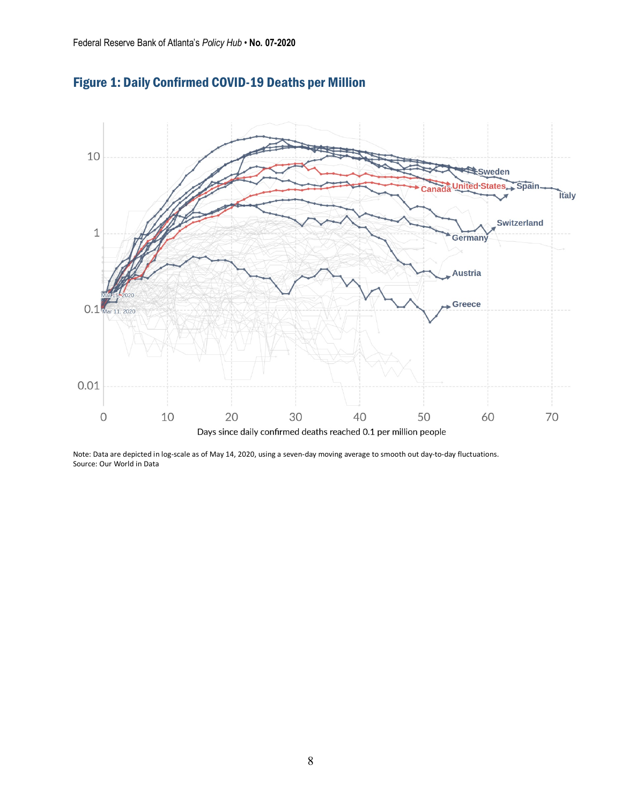

Figure 1: Daily Confirmed COVID-19 Deaths per Million

Note: Data are depicted in log-scale as of May 14, 2020, using a seven-day moving average to smooth out day-to-day fluctuations. Source: Our World in Data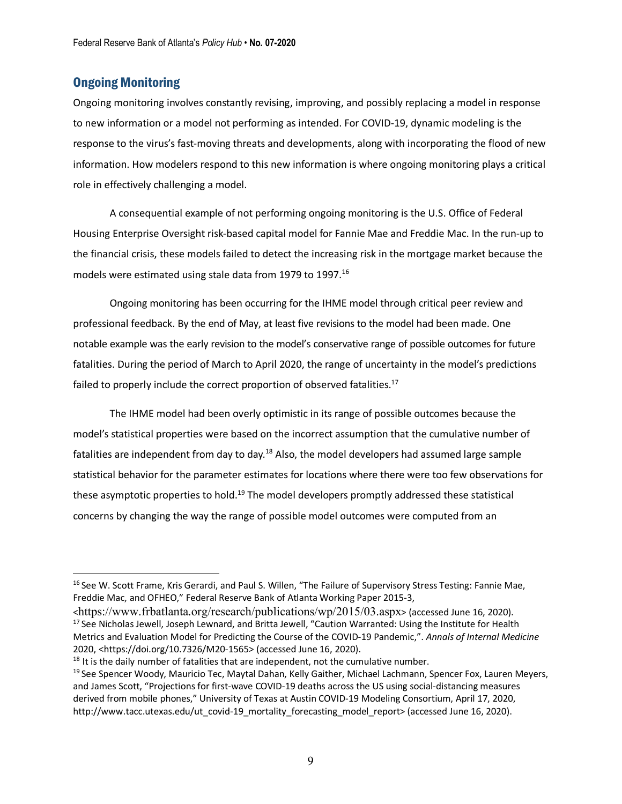#### Ongoing Monitoring

Ongoing monitoring involves constantly revising, improving, and possibly replacing a model in response to new information or a model not performing as intended. For COVID-19, dynamic modeling is the response to the virus's fast-moving threats and developments, along with incorporating the flood of new information. How modelers respond to this new information is where ongoing monitoring plays a critical role in effectively challenging a model.

A consequential example of not performing ongoing monitoring is the U.S. Office of Federal Housing Enterprise Oversight risk-based capital model for Fannie Mae and Freddie Mac. In the run-up to the financial crisis, these models failed to detect the increasing risk in the mortgage market because the models were estimated using stale data from 1979 to 1997.<sup>16</sup>

Ongoing monitoring has been occurring for the IHME model through critical peer review and professional feedback. By the end of May, at least five revisions to the model had been made. One notable example was the early revision to the model's conservative range of possible outcomes for future fatalities. During the period of March to April 2020, the range of uncertainty in the model's predictions failed to properly include the correct proportion of observed fatalities.<sup>17</sup>

The IHME model had been overly optimistic in its range of possible outcomes because the model's statistical properties were based on the incorrect assumption that the cumulative number of fatalities are independent from day to day.<sup>18</sup> Also, the model developers had assumed large sample statistical behavior for the parameter estimates for locations where there were too few observations for these asymptotic properties to hold.<sup>19</sup> The model developers promptly addressed these statistical concerns by changing the way the range of possible model outcomes were computed from an

<sup>&</sup>lt;sup>16</sup> See W. Scott Frame, Kris Gerardi, and Paul S. Willen, "The Failure of Supervisory Stress Testing: Fannie Mae, Freddie Mac, and OFHEO," Federal Reserve Bank of Atlanta Working Paper 2015-3,

<sup>&</sup>lt;https://www.frbatlanta.org/research/publications/wp/2015/03.aspx> (accessed June 16, 2020). <sup>17</sup> See Nicholas Jewell, Joseph Lewnard, and Britta Jewell, "Caution Warranted: Using the Institute for Health Metrics and Evaluation Model for Predicting the Course of the COVID-19 Pandemic,". *Annals of Internal Medicine* 2020, <https://doi.org/10.7326/M20-1565> (accessed June 16, 2020).

 $18$  It is the daily number of fatalities that are independent, not the cumulative number.

<sup>&</sup>lt;sup>19</sup> See Spencer Woody, Mauricio Tec, Maytal Dahan, Kelly Gaither, Michael Lachmann, Spencer Fox, Lauren Meyers, and James Scott, "Projections for first-wave COVID-19 deaths across the US using social-distancing measures derived from mobile phones," University of Texas at Austin COVID-19 Modeling Consortium, April 17, 2020, http://www.tacc.utexas.edu/ut\_covid-19\_mortality\_forecasting\_model\_report> (accessed June 16, 2020).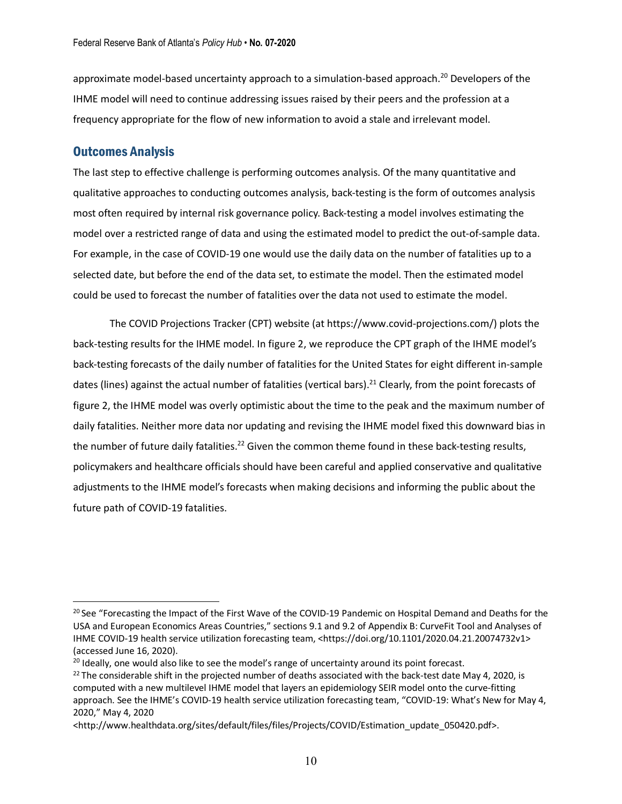approximate model-based uncertainty approach to a simulation-based approach.<sup>20</sup> Developers of the IHME model will need to continue addressing issues raised by their peers and the profession at a frequency appropriate for the flow of new information to avoid a stale and irrelevant model.

#### Outcomes Analysis

The last step to effective challenge is performing outcomes analysis. Of the many quantitative and qualitative approaches to conducting outcomes analysis, back-testing is the form of outcomes analysis most often required by internal risk governance policy. Back-testing a model involves estimating the model over a restricted range of data and using the estimated model to predict the out-of-sample data. For example, in the case of COVID-19 one would use the daily data on the number of fatalities up to a selected date, but before the end of the data set, to estimate the model. Then the estimated model could be used to forecast the number of fatalities over the data not used to estimate the model.

The COVID Projections Tracker (CPT) website (at https://www.covid-projections.com/) plots the back-testing results for the IHME model. In figure 2, we reproduce the CPT graph of the IHME model's back-testing forecasts of the daily number of fatalities for the United States for eight different in-sample dates (lines) against the actual number of fatalities (vertical bars).<sup>21</sup> Clearly, from the point forecasts of figure 2, the IHME model was overly optimistic about the time to the peak and the maximum number of daily fatalities. Neither more data nor updating and revising the IHME model fixed this downward bias in the number of future daily fatalities.<sup>22</sup> Given the common theme found in these back-testing results, policymakers and healthcare officials should have been careful and applied conservative and qualitative adjustments to the IHME model's forecasts when making decisions and informing the public about the future path of COVID-19 fatalities.

<sup>&</sup>lt;sup>20</sup> See "Forecasting the Impact of the First Wave of the COVID-19 Pandemic on Hospital Demand and Deaths for the USA and European Economics Areas Countries," sections 9.1 and 9.2 of Appendix B: CurveFit Tool and Analyses of IHME COVID-19 health service utilization forecasting team, <https://doi.org/10.1101/2020.04.21.20074732v1> (accessed June 16, 2020).

<sup>&</sup>lt;sup>20</sup> Ideally, one would also like to see the model's range of uncertainty around its point forecast.

<sup>&</sup>lt;sup>22</sup> The considerable shift in the projected number of deaths associated with the back-test date May 4, 2020, is computed with a new multilevel IHME model that layers an epidemiology SEIR model onto the curve-fitting approach. See the IHME's COVID-19 health service utilization forecasting team, "COVID-19: What's New for May 4, 2020," May 4, 2020

<sup>&</sup>lt;http://www.healthdata.org/sites/default/files/files/Projects/COVID/Estimation\_update\_050420.pdf>.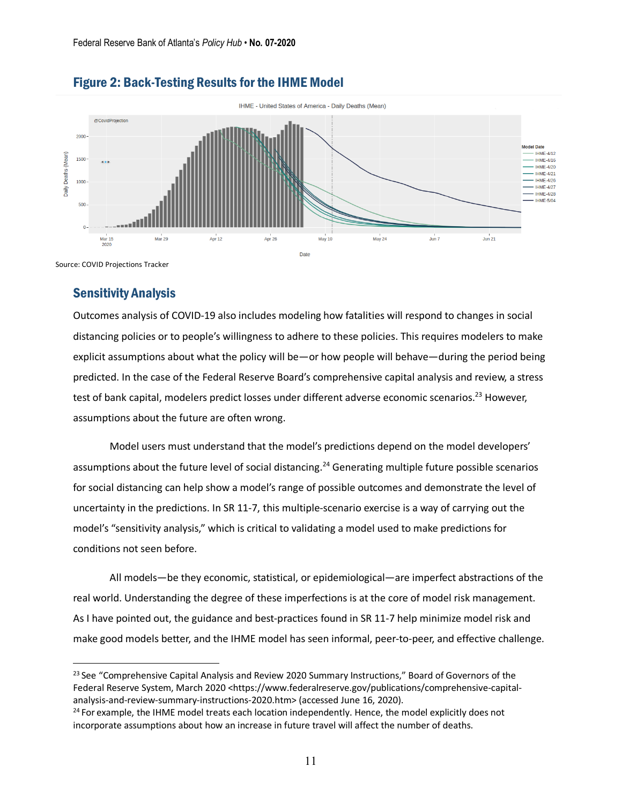

#### Figure 2: Back-Testing Results for the IHME Model

#### Sensitivity Analysis

Outcomes analysis of COVID-19 also includes modeling how fatalities will respond to changes in social distancing policies or to people's willingness to adhere to these policies. This requires modelers to make explicit assumptions about what the policy will be—or how people will behave—during the period being predicted. In the case of the Federal Reserve Board's comprehensive capital analysis and review, a stress test of bank capital, modelers predict losses under different adverse economic scenarios.<sup>23</sup> However, assumptions about the future are often wrong.

Model users must understand that the model's predictions depend on the model developers' assumptions about the future level of social distancing.<sup>24</sup> Generating multiple future possible scenarios for social distancing can help show a model's range of possible outcomes and demonstrate the level of uncertainty in the predictions. In SR 11-7, this multiple-scenario exercise is a way of carrying out the model's "sensitivity analysis," which is critical to validating a model used to make predictions for conditions not seen before.

All models—be they economic, statistical, or epidemiological—are imperfect abstractions of the real world. Understanding the degree of these imperfections is at the core of model risk management. As I have pointed out, the guidance and best-practices found in SR 11-7 help minimize model risk and make good models better, and the IHME model has seen informal, peer-to-peer, and effective challenge.

<sup>&</sup>lt;sup>23</sup> See "Comprehensive Capital Analysis and Review 2020 Summary Instructions," Board of Governors of the Federal Reserve System, March 2020 <https://www.federalreserve.gov/publications/comprehensive-capitalanalysis-and-review-summary-instructions-2020.htm> (accessed June 16, 2020).

<sup>&</sup>lt;sup>24</sup> For example, the IHME model treats each location independently. Hence, the model explicitly does not incorporate assumptions about how an increase in future travel will affect the number of deaths.